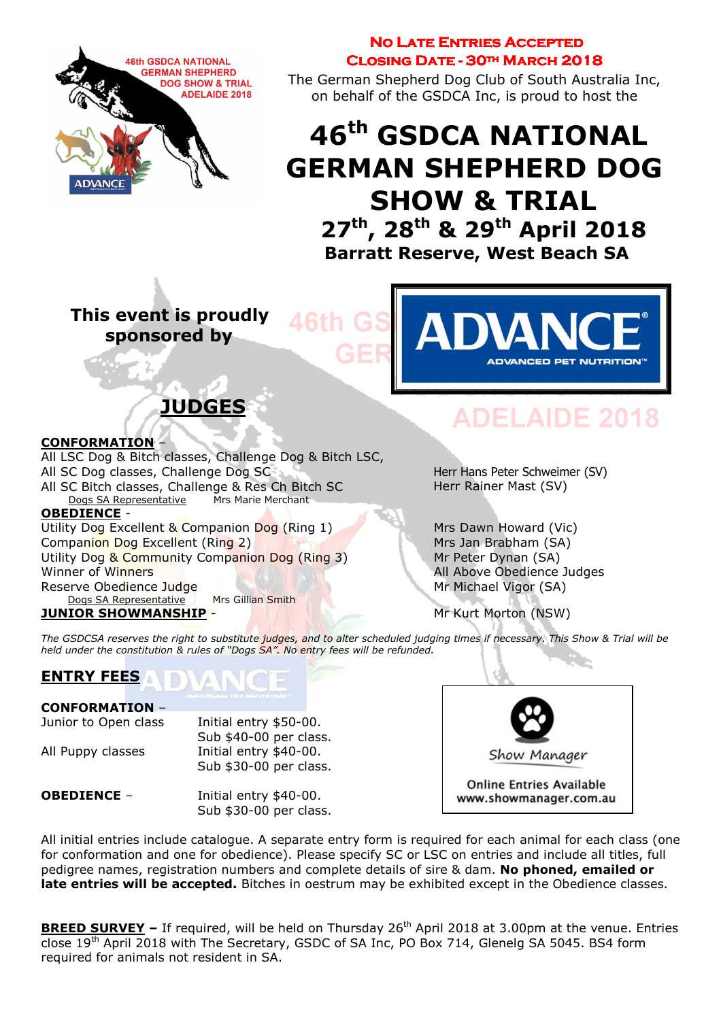

### **NO LATE ENTRIES ACCEPTED** CLOSING DATE - 30TH MARCH 2018

The German Shepherd Dog Club of South Australia Inc, on behalf of the GSDCA Inc, is proud to host the

# 46th GSDCA NATIONAL GERMAN SHEPHERD DOG SHOW & TRIAL 27<sup>th</sup>, 28<sup>th</sup> & 29<sup>th</sup> April 2018 Barratt Reserve, West Beach SA

 This event is proudly sponsored by

ADVANCED PET NUTRITION

# JUDGES

#### CONFORMATION –

All LSC Dog & Bitch classes, Challenge Dog & Bitch LSC, All SC Dog classes, Challenge Dog SC All SC Bitch classes, Challenge & Res Ch Bitch SC<br>Dogs SA Representative Mrs Marie Merchant Dogs SA Representative OBEDIENCE - Utility Dog Excellent & Companion Dog (Ring 1) Mrs Dawn Howard (Vic) Companion Dog Excellent (Ring 2) Mrs Jan Brabham (SA) Utility Dog & Community Companion Dog (Ring 3) Mr Peter Dynan (SA) Winner of Winners **All Above Obedience Judges** All Above Obedience Judges Reserve Obedience Judge Mr Michael Vigor (SA)

Dogs SA Representative Mrs Gillian Smith **JUNIOR SHOWMANSHIP - Mr Kurt Morton (NSW)** 

# **DEL AIDE 2018**

Herr Hans Peter Schweimer (SV) Herr Rainer Mast (SV)

The GSDCSA reserves the right to substitute judges, and to alter scheduled judging times if necessary. This Show & Trial will be held under the constitution & rules of "Dogs SA". No entry fees will be refunded.

# ENTRY FEES

#### CONFORMATION –

Junior to Open class Initial entry \$50-00. Sub \$40-00 per class. All Puppy classes Initial entry \$40-00. Sub \$30-00 per class.

Show Manager **Online Entries Available** 

www.showmanager.com.au

**OBEDIENCE** – Initial entry \$40-00. Sub \$30-00 per class.

All initial entries include catalogue. A separate entry form is required for each animal for each class (one for conformation and one for obedience). Please specify SC or LSC on entries and include all titles, full pedigree names, registration numbers and complete details of sire & dam. No phoned, emailed or late entries will be accepted. Bitches in oestrum may be exhibited except in the Obedience classes.

BREED SURVEY - If required, will be held on Thursday 26<sup>th</sup> April 2018 at 3.00pm at the venue. Entries close 19<sup>th</sup> April 2018 with The Secretary, GSDC of SA Inc, PO Box 714, Glenelg SA 5045. BS4 form required for animals not resident in SA.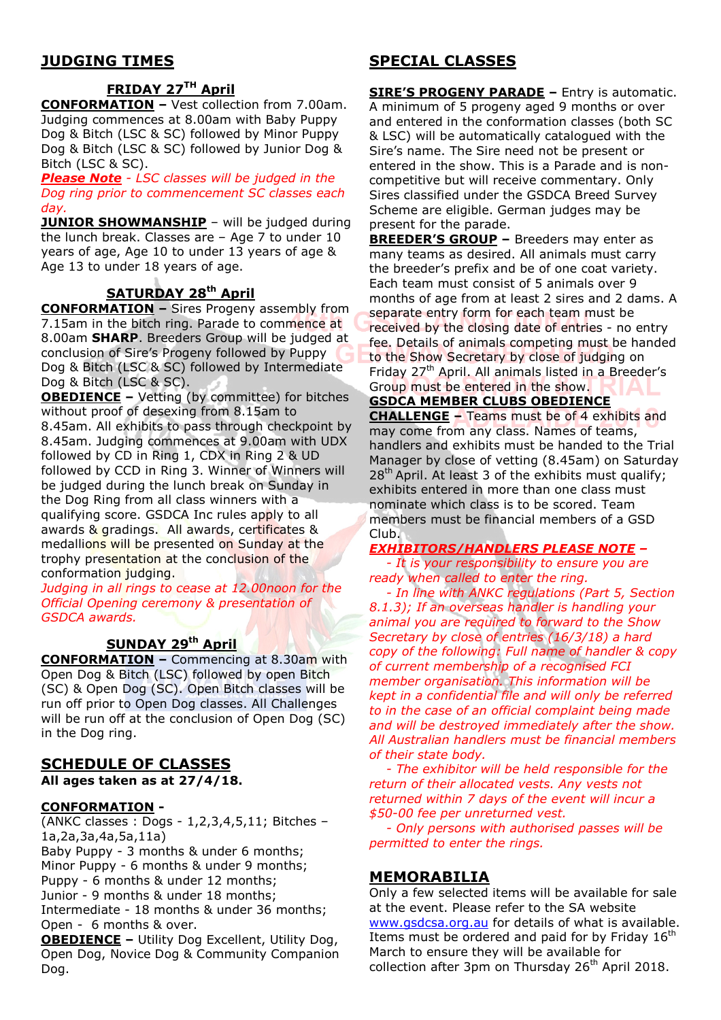# JUDGING TIMES

# **FRIDAY 27TH April**

CONFORMATION – Vest collection from 7.00am. Judging commences at 8.00am with Baby Puppy Dog & Bitch (LSC & SC) followed by Minor Puppy Dog & Bitch (LSC & SC) followed by Junior Dog & Bitch (LSC & SC).

Please Note - LSC classes will be judged in the Dog ring prior to commencement SC classes each day.

**JUNIOR SHOWMANSHIP** - will be judged during the lunch break. Classes are – Age 7 to under 10 years of age, Age 10 to under 13 years of age & Age 13 to under 18 years of age.

# SATURDAY 28<sup>th</sup> April

**CONFORMATION - Sires Progeny assembly from** 7.15am in the bitch ring. Parade to commence at 8.00am SHARP. Breeders Group will be judged at conclusion of Sire's Progeny followed by Puppy Dog & Bitch (LSC & SC) followed by Intermediate Dog & Bitch (LSC & SC).

OBEDIENCE – Vetting (by committee) for bitches without proof of desexing from 8.15am to 8.45am. All exhibits to pass through checkpoint by 8.45am. Judging commences at 9.00am with UDX followed by CD in Ring 1, CDX in Ring 2 & UD followed by CCD in Ring 3. Winner of Winners will be judged during the lunch break on Sunday in the Dog Ring from all class winners with a qualifying score. GSDCA Inc rules apply to all awards & gradings. All awards, certificates & medallions will be presented on Sunday at the trophy presentation at the conclusion of the conformation judging.

Judging in all rings to cease at 12.00noon for the Official Opening ceremony & presentation of GSDCA awards.

### SUNDAY 29<sup>th</sup> April

CONFORMATION – Commencing at 8.30am with Open Dog & Bitch (LSC) followed by open Bitch (SC) & Open Dog (SC). Open Bitch classes will be run off prior to Open Dog classes. All Challenges will be run off at the conclusion of Open Dog (SC) in the Dog ring.

#### SCHEDULE OF CLASSES All ages taken as at 27/4/18.

#### CONFORMATION -

(ANKC classes : Dogs - 1,2,3,4,5,11; Bitches – 1a,2a,3a,4a,5a,11a) Baby Puppy - 3 months & under 6 months; Minor Puppy - 6 months & under 9 months; Puppy - 6 months & under 12 months; Junior - 9 months & under 18 months; Intermediate - 18 months & under 36 months; Open - 6 months & over.

OBEDIENCE – Utility Dog Excellent, Utility Dog, Open Dog, Novice Dog & Community Companion Dog.

# SPECIAL CLASSES

SIRE'S PROGENY PARADE – Entry is automatic. A minimum of 5 progeny aged 9 months or over and entered in the conformation classes (both SC & LSC) will be automatically catalogued with the Sire's name. The Sire need not be present or entered in the show. This is a Parade and is noncompetitive but will receive commentary. Only Sires classified under the GSDCA Breed Survey Scheme are eligible. German judges may be present for the parade.

BREEDER'S GROUP – Breeders may enter as many teams as desired. All animals must carry the breeder's prefix and be of one coat variety. Each team must consist of 5 animals over 9 months of age from at least 2 sires and 2 dams. A separate entry form for each team must be received by the closing date of entries - no entry fee. Details of animals competing must be handed to the Show Secretary by close of judging on Friday 27<sup>th</sup> April. All animals listed in a Breeder's Group must be entered in the show.

#### GSDCA MEMBER CLUBS OBEDIENCE

CHALLENGE – Teams must be of 4 exhibits and may come from any class. Names of teams, handlers and exhibits must be handed to the Trial Manager by close of vetting (8.45am) on Saturday  $28<sup>th</sup>$  April. At least 3 of the exhibits must qualify; exhibits entered in more than one class must nominate which class is to be scored. Team members must be financial members of a GSD Club.

#### EXHIBITORS/HANDLERS PLEASE NOTE –

 - It is your responsibility to ensure you are ready when called to enter the ring.

 - In line with ANKC regulations (Part 5, Section 8.1.3); If an overseas handler is handling your animal you are required to forward to the Show Secretary by close of entries (16/3/18) a hard copy of the following: Full name of handler & copy of current membership of a recognised FCI member organisation. This information will be kept in a confidential file and will only be referred to in the case of an official complaint being made and will be destroyed immediately after the show. All Australian handlers must be financial members of their state body.

 - The exhibitor will be held responsible for the return of their allocated vests. Any vests not returned within 7 days of the event will incur a \$50-00 fee per unreturned vest.

 - Only persons with authorised passes will be permitted to enter the rings.

#### MEMORABILIA

Only a few selected items will be available for sale at the event. Please refer to the SA website www.gsdcsa.org.au for details of what is available. Items must be ordered and paid for by Friday 16<sup>th</sup> March to ensure they will be available for collection after 3pm on Thursday  $26<sup>th</sup>$  April 2018.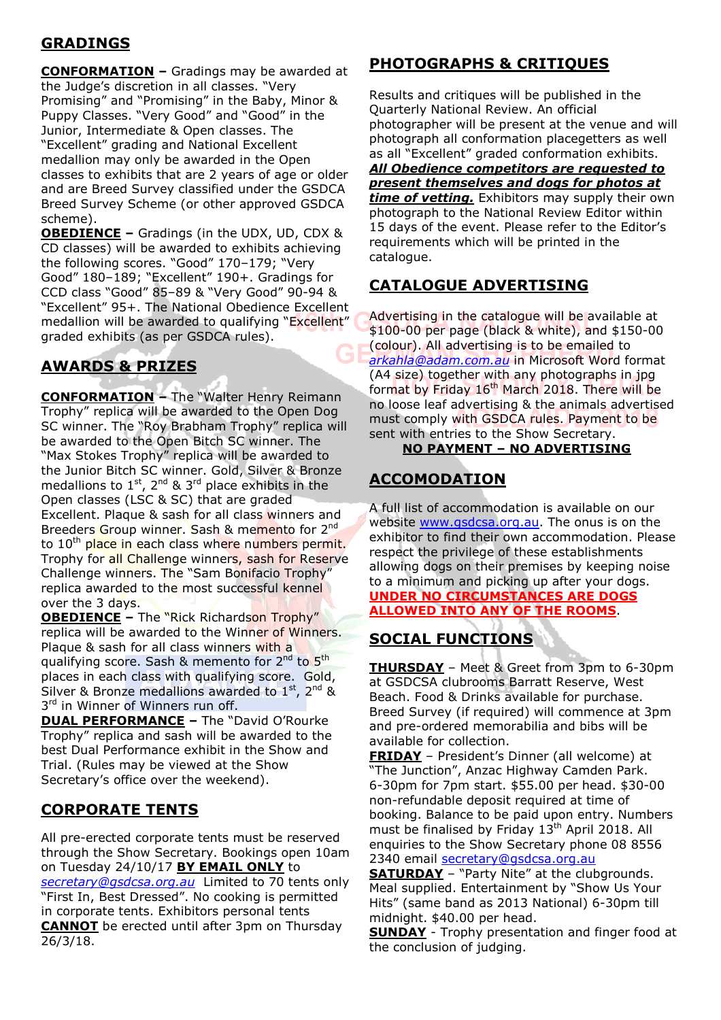# **GRADINGS**

CONFORMATION – Gradings may be awarded at the Judge's discretion in all classes. "Very Promising" and "Promising" in the Baby, Minor & Puppy Classes. "Very Good" and "Good" in the Junior, Intermediate & Open classes. The "Excellent" grading and National Excellent medallion may only be awarded in the Open classes to exhibits that are 2 years of age or older and are Breed Survey classified under the GSDCA Breed Survey Scheme (or other approved GSDCA scheme).

OBEDIENCE – Gradings (in the UDX, UD, CDX & CD classes) will be awarded to exhibits achieving the following scores. "Good" 170–179; "Very Good" 180–189; "Excellent" 190+. Gradings for CCD class "Good" 85–89 & "Very Good" 90-94 & "Excellent" 95+. The National Obedience Excellent medallion will be awarded to qualifying "Excellent" graded exhibits (as per GSDCA rules).

# AWARDS & PRIZES

CONFORMATION – The "Walter Henry Reimann Trophy" replica will be awarded to the Open Dog SC winner. The "Roy Brabham Trophy" replica will be awarded to the Open Bitch SC winner. The "Max Stokes Trophy" replica will be awarded to the Junior Bitch SC winner. Gold, Silver & Bronze medallions to  $1^{st}$ ,  $2^{nd}$  &  $3^{rd}$  place exhibits in the Open classes (LSC & SC) that are graded Excellent. Plaque & sash for all class winners and Breeders Group winner. Sash & memento for 2<sup>nd</sup> to 10<sup>th</sup> place in each class where numbers permit. Trophy for all Challenge winners, sash for Reserve Challenge winners. The "Sam Bonifacio Trophy" replica awarded to the most successful kennel over the 3 days.

**OBEDIENCE - The "Rick Richardson Trophy"** replica will be awarded to the Winner of Winners. Plaque & sash for all class winners with a qualifying score. Sash & memento for 2<sup>nd</sup> to 5<sup>th</sup> places in each class with qualifying score. Gold, Silver & Bronze medallions awarded to  $1^{st}$ ,  $2^{nd}$  & 3<sup>rd</sup> in Winner of Winners run off.

**DUAL PERFORMANCE - The "David O'Rourke** Trophy" replica and sash will be awarded to the best Dual Performance exhibit in the Show and Trial. (Rules may be viewed at the Show Secretary's office over the weekend).

## CORPORATE TENTS

All pre-erected corporate tents must be reserved through the Show Secretary. Bookings open 10am on Tuesday 24/10/17 BY EMAIL ONLY to secretary@gsdcsa.org.au Limited to 70 tents only "First In, Best Dressed". No cooking is permitted in corporate tents. Exhibitors personal tents

CANNOT be erected until after 3pm on Thursday 26/3/18.

# PHOTOGRAPHS & CRITIQUES

Results and critiques will be published in the Quarterly National Review. An official photographer will be present at the venue and will photograph all conformation placegetters as well as all "Excellent" graded conformation exhibits. All Obedience competitors are requested to present themselves and dogs for photos at time of vetting. Exhibitors may supply their own photograph to the National Review Editor within 15 days of the event. Please refer to the Editor's requirements which will be printed in the catalogue.

# CATALOGUE ADVERTISING

Advertising in the catalogue will be available at \$100-00 per page (black & white), and \$150-00 (colour). All advertising is to be emailed to arkahla@adam.com.au in Microsoft Word format (A4 size) together with any photographs in jpg format by Friday 16<sup>th</sup> March 2018. There will be no loose leaf advertising & the animals advertised must comply with GSDCA rules. Payment to be sent with entries to the Show Secretary.

NO PAYMENT – NO ADVERTISING

# **ACCOMODATION**

A full list of accommodation is available on our website www.gsdcsa.org.au. The onus is on the exhibitor to find their own accommodation. Please respect the privilege of these establishments allowing dogs on their premises by keeping noise to a minimum and picking up after your dogs. UNDER NO CIRCUMSTANCES ARE DOGS ALLOWED INTO ANY OF THE ROOMS.

# SOCIAL FUNCTIONS

THURSDAY - Meet & Greet from 3pm to 6-30pm at GSDCSA clubrooms Barratt Reserve, West Beach. Food & Drinks available for purchase. Breed Survey (if required) will commence at 3pm and pre-ordered memorabilia and bibs will be available for collection.

FRIDAY – President's Dinner (all welcome) at "The Junction", Anzac Highway Camden Park. 6-30pm for 7pm start. \$55.00 per head. \$30-00 non-refundable deposit required at time of booking. Balance to be paid upon entry. Numbers must be finalised by Friday  $13<sup>th</sup>$  April 2018. All enquiries to the Show Secretary phone 08 8556 2340 email secretary@gsdcsa.org.au

**SATURDAY** - "Party Nite" at the clubgrounds. Meal supplied. Entertainment by "Show Us Your Hits" (same band as 2013 National) 6-30pm till midnight. \$40.00 per head.

**SUNDAY** - Trophy presentation and finger food at the conclusion of judging.